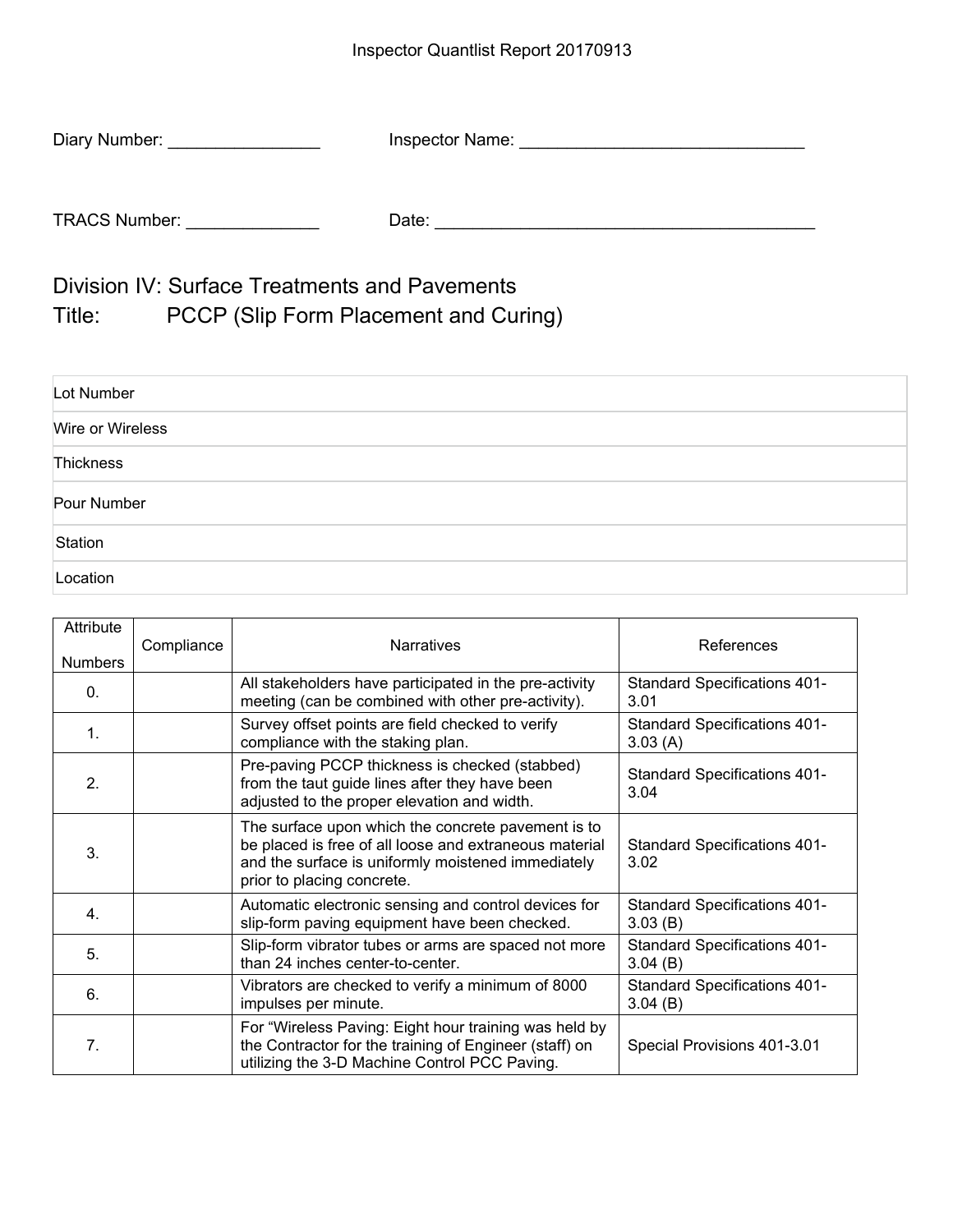| Diary Number:        | Inspector Name: |
|----------------------|-----------------|
|                      |                 |
| <b>TRACS Number:</b> | Date:           |

Division IV: Surface Treatments and Pavements Title: PCCP (Slip Form Placement and Curing)

| Lot Number       |  |
|------------------|--|
| Wire or Wireless |  |
| Thickness        |  |
| Pour Number      |  |
| Station          |  |
| Location         |  |

| Attribute<br><b>Numbers</b> | Compliance | <b>Narratives</b>                                                                                                                                                                                | References                                     |
|-----------------------------|------------|--------------------------------------------------------------------------------------------------------------------------------------------------------------------------------------------------|------------------------------------------------|
| $\Omega$ .                  |            | All stakeholders have participated in the pre-activity<br>meeting (can be combined with other pre-activity).                                                                                     | <b>Standard Specifications 401-</b><br>3.01    |
| $\mathbf 1$ .               |            | Survey offset points are field checked to verify<br>compliance with the staking plan.                                                                                                            | <b>Standard Specifications 401-</b><br>3.03(A) |
| 2.                          |            | Pre-paving PCCP thickness is checked (stabbed)<br>from the taut guide lines after they have been<br>adjusted to the proper elevation and width.                                                  | <b>Standard Specifications 401-</b><br>3.04    |
| 3.                          |            | The surface upon which the concrete pavement is to<br>be placed is free of all loose and extraneous material<br>and the surface is uniformly moistened immediately<br>prior to placing concrete. | <b>Standard Specifications 401-</b><br>3.02    |
| 4.                          |            | Automatic electronic sensing and control devices for<br>slip-form paving equipment have been checked.                                                                                            | <b>Standard Specifications 401-</b><br>3.03(B) |
| 5.                          |            | Slip-form vibrator tubes or arms are spaced not more<br>than 24 inches center-to-center.                                                                                                         | <b>Standard Specifications 401-</b><br>3.04(B) |
| 6.                          |            | Vibrators are checked to verify a minimum of 8000<br>impulses per minute.                                                                                                                        | <b>Standard Specifications 401-</b><br>3.04(B) |
| 7.                          |            | For "Wireless Paving: Eight hour training was held by<br>the Contractor for the training of Engineer (staff) on<br>utilizing the 3-D Machine Control PCC Paving.                                 | Special Provisions 401-3.01                    |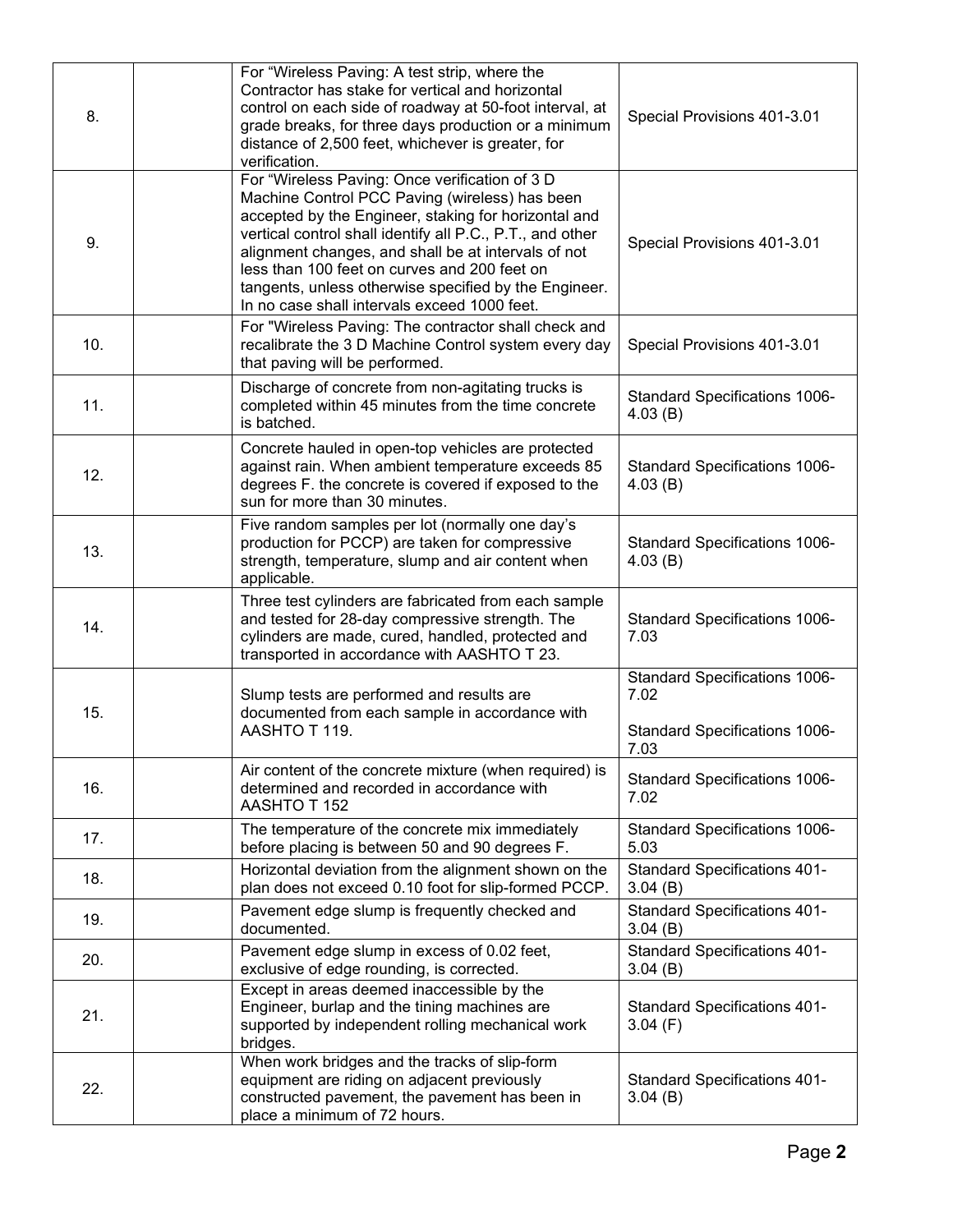| 8.  | For "Wireless Paving: A test strip, where the<br>Contractor has stake for vertical and horizontal<br>control on each side of roadway at 50-foot interval, at<br>grade breaks, for three days production or a minimum<br>distance of 2,500 feet, whichever is greater, for<br>verification.                                                                                                                                            | Special Provisions 401-3.01                                                           |
|-----|---------------------------------------------------------------------------------------------------------------------------------------------------------------------------------------------------------------------------------------------------------------------------------------------------------------------------------------------------------------------------------------------------------------------------------------|---------------------------------------------------------------------------------------|
| 9.  | For "Wireless Paving: Once verification of 3 D<br>Machine Control PCC Paving (wireless) has been<br>accepted by the Engineer, staking for horizontal and<br>vertical control shall identify all P.C., P.T., and other<br>alignment changes, and shall be at intervals of not<br>less than 100 feet on curves and 200 feet on<br>tangents, unless otherwise specified by the Engineer.<br>In no case shall intervals exceed 1000 feet. | Special Provisions 401-3.01                                                           |
| 10. | For "Wireless Paving: The contractor shall check and<br>recalibrate the 3 D Machine Control system every day<br>that paving will be performed.                                                                                                                                                                                                                                                                                        | Special Provisions 401-3.01                                                           |
| 11. | Discharge of concrete from non-agitating trucks is<br>completed within 45 minutes from the time concrete<br>is batched.                                                                                                                                                                                                                                                                                                               | <b>Standard Specifications 1006-</b><br>4.03(B)                                       |
| 12. | Concrete hauled in open-top vehicles are protected<br>against rain. When ambient temperature exceeds 85<br>degrees F. the concrete is covered if exposed to the<br>sun for more than 30 minutes.                                                                                                                                                                                                                                      | <b>Standard Specifications 1006-</b><br>4.03(B)                                       |
| 13. | Five random samples per lot (normally one day's<br>production for PCCP) are taken for compressive<br>strength, temperature, slump and air content when<br>applicable.                                                                                                                                                                                                                                                                 | Standard Specifications 1006-<br>4.03(B)                                              |
| 14. | Three test cylinders are fabricated from each sample<br>and tested for 28-day compressive strength. The<br>cylinders are made, cured, handled, protected and<br>transported in accordance with AASHTO T 23.                                                                                                                                                                                                                           | Standard Specifications 1006-<br>7.03                                                 |
| 15. | Slump tests are performed and results are<br>documented from each sample in accordance with<br>AASHTO T 119.                                                                                                                                                                                                                                                                                                                          | Standard Specifications 1006-<br>7.02<br><b>Standard Specifications 1006-</b><br>7.03 |
| 16. | Air content of the concrete mixture (when required) is<br>determined and recorded in accordance with<br>AASHTO T 152                                                                                                                                                                                                                                                                                                                  | Standard Specifications 1006-<br>7.02                                                 |
| 17. | The temperature of the concrete mix immediately<br>before placing is between 50 and 90 degrees F.                                                                                                                                                                                                                                                                                                                                     | Standard Specifications 1006-<br>5.03                                                 |
| 18. | Horizontal deviation from the alignment shown on the<br>plan does not exceed 0.10 foot for slip-formed PCCP.                                                                                                                                                                                                                                                                                                                          | <b>Standard Specifications 401-</b><br>3.04(B)                                        |
| 19. | Pavement edge slump is frequently checked and<br>documented.                                                                                                                                                                                                                                                                                                                                                                          | <b>Standard Specifications 401-</b><br>3.04(B)                                        |
| 20. | Pavement edge slump in excess of 0.02 feet,<br>exclusive of edge rounding, is corrected.                                                                                                                                                                                                                                                                                                                                              | <b>Standard Specifications 401-</b><br>3.04(B)                                        |
| 21. | Except in areas deemed inaccessible by the<br>Engineer, burlap and the tining machines are<br>supported by independent rolling mechanical work<br>bridges.                                                                                                                                                                                                                                                                            | <b>Standard Specifications 401-</b><br>3.04(F)                                        |
| 22. | When work bridges and the tracks of slip-form<br>equipment are riding on adjacent previously<br>constructed pavement, the pavement has been in<br>place a minimum of 72 hours.                                                                                                                                                                                                                                                        | <b>Standard Specifications 401-</b><br>3.04(B)                                        |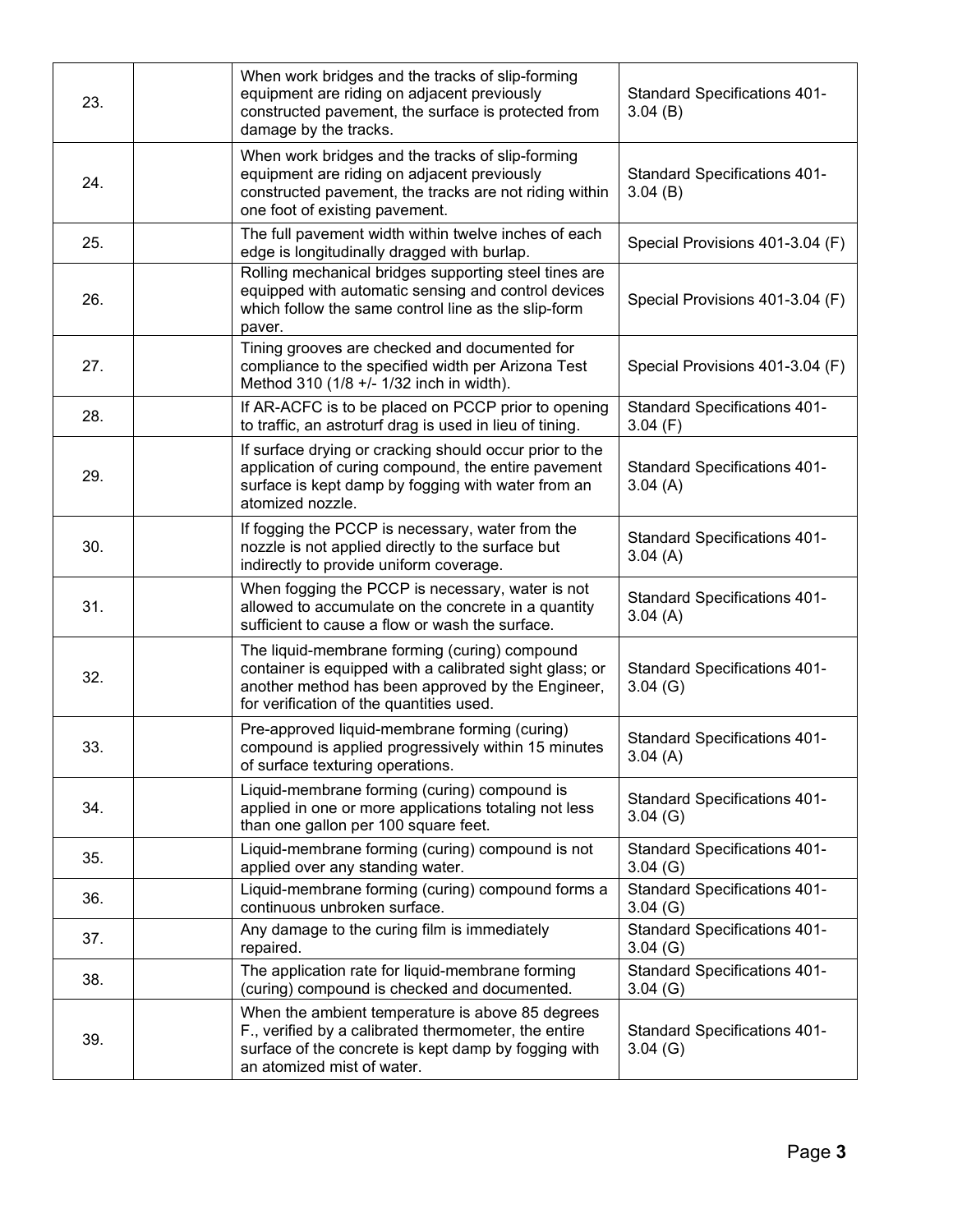| 23. | When work bridges and the tracks of slip-forming<br>equipment are riding on adjacent previously<br>constructed pavement, the surface is protected from<br>damage by the tracks.                           | <b>Standard Specifications 401-</b><br>3.04(B) |
|-----|-----------------------------------------------------------------------------------------------------------------------------------------------------------------------------------------------------------|------------------------------------------------|
| 24. | When work bridges and the tracks of slip-forming<br>equipment are riding on adjacent previously<br>constructed pavement, the tracks are not riding within<br>one foot of existing pavement.               | <b>Standard Specifications 401-</b><br>3.04(B) |
| 25. | The full pavement width within twelve inches of each<br>edge is longitudinally dragged with burlap.                                                                                                       | Special Provisions 401-3.04 (F)                |
| 26. | Rolling mechanical bridges supporting steel tines are<br>equipped with automatic sensing and control devices<br>which follow the same control line as the slip-form<br>paver.                             | Special Provisions 401-3.04 (F)                |
| 27. | Tining grooves are checked and documented for<br>compliance to the specified width per Arizona Test<br>Method 310 (1/8 +/- 1/32 inch in width).                                                           | Special Provisions 401-3.04 (F)                |
| 28. | If AR-ACFC is to be placed on PCCP prior to opening<br>to traffic, an astroturf drag is used in lieu of tining.                                                                                           | <b>Standard Specifications 401-</b><br>3.04(F) |
| 29. | If surface drying or cracking should occur prior to the<br>application of curing compound, the entire pavement<br>surface is kept damp by fogging with water from an<br>atomized nozzle.                  | <b>Standard Specifications 401-</b><br>3.04(A) |
| 30. | If fogging the PCCP is necessary, water from the<br>nozzle is not applied directly to the surface but<br>indirectly to provide uniform coverage.                                                          | <b>Standard Specifications 401-</b><br>3.04(A) |
| 31. | When fogging the PCCP is necessary, water is not<br>allowed to accumulate on the concrete in a quantity<br>sufficient to cause a flow or wash the surface.                                                | <b>Standard Specifications 401-</b><br>3.04(A) |
| 32. | The liquid-membrane forming (curing) compound<br>container is equipped with a calibrated sight glass; or<br>another method has been approved by the Engineer,<br>for verification of the quantities used. | <b>Standard Specifications 401-</b><br>3.04(G) |
| 33. | Pre-approved liquid-membrane forming (curing)<br>compound is applied progressively within 15 minutes<br>of surface texturing operations.                                                                  | <b>Standard Specifications 401-</b><br>3.04(A) |
| 34. | Liquid-membrane forming (curing) compound is<br>applied in one or more applications totaling not less<br>than one gallon per 100 square feet.                                                             | <b>Standard Specifications 401-</b><br>3.04(G) |
| 35. | Liquid-membrane forming (curing) compound is not<br>applied over any standing water.                                                                                                                      | <b>Standard Specifications 401-</b><br>3.04(G) |
| 36. | Liquid-membrane forming (curing) compound forms a<br>continuous unbroken surface.                                                                                                                         | <b>Standard Specifications 401-</b><br>3.04(G) |
| 37. | Any damage to the curing film is immediately<br>repaired.                                                                                                                                                 | <b>Standard Specifications 401-</b><br>3.04(G) |
| 38. | The application rate for liquid-membrane forming<br>(curing) compound is checked and documented.                                                                                                          | <b>Standard Specifications 401-</b><br>3.04(G) |
| 39. | When the ambient temperature is above 85 degrees<br>F., verified by a calibrated thermometer, the entire<br>surface of the concrete is kept damp by fogging with<br>an atomized mist of water.            | <b>Standard Specifications 401-</b><br>3.04(G) |